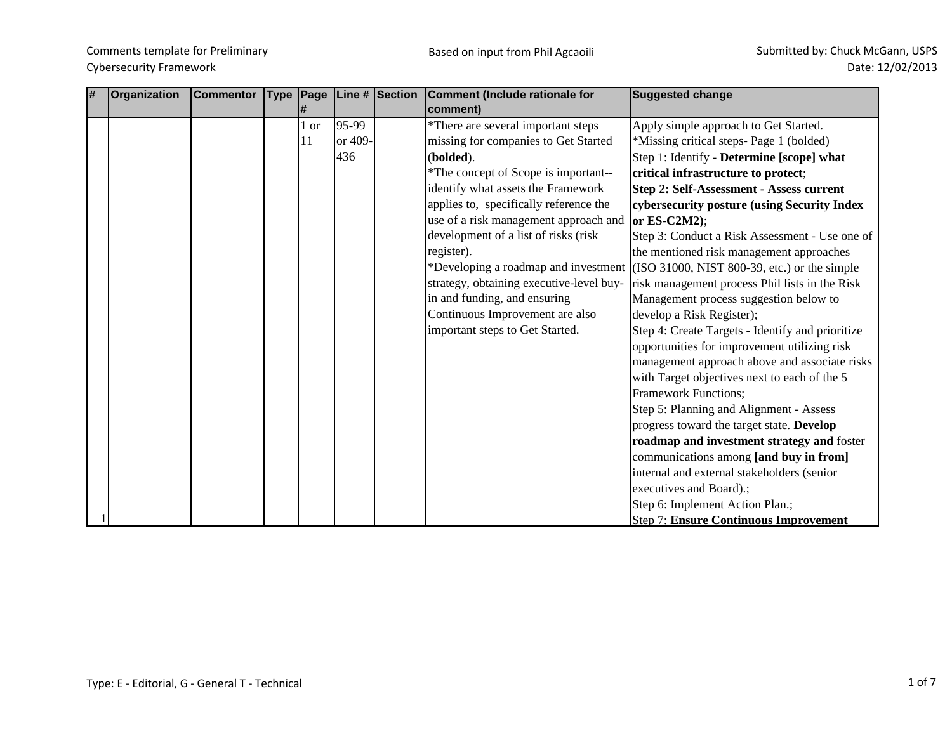| # | Organization | <b>Commentor</b> | <b>Type</b> | Page |         | Line # Section | Comment (Include rationale for           | <b>Suggested change</b>                                                           |
|---|--------------|------------------|-------------|------|---------|----------------|------------------------------------------|-----------------------------------------------------------------------------------|
|   |              |                  |             |      |         |                | comment)                                 |                                                                                   |
|   |              |                  |             | 1 or | 95-99   |                | *There are several important steps       | Apply simple approach to Get Started.                                             |
|   |              |                  |             | 11   | or 409- |                | missing for companies to Get Started     | *Missing critical steps- Page 1 (bolded)                                          |
|   |              |                  |             |      | 436     |                | (bolded).                                | Step 1: Identify - Determine [scope] what                                         |
|   |              |                  |             |      |         |                | *The concept of Scope is important--     | critical infrastructure to protect;                                               |
|   |              |                  |             |      |         |                | identify what assets the Framework       | <b>Step 2: Self-Assessment - Assess current</b>                                   |
|   |              |                  |             |      |         |                | applies to, specifically reference the   | cybersecurity posture (using Security Index                                       |
|   |              |                  |             |      |         |                | use of a risk management approach and    | or $ES-C2M2$ );                                                                   |
|   |              |                  |             |      |         |                | development of a list of risks (risk     | Step 3: Conduct a Risk Assessment - Use one of                                    |
|   |              |                  |             |      |         |                | register).                               | the mentioned risk management approaches                                          |
|   |              |                  |             |      |         |                |                                          | *Developing a roadmap and investment (ISO 31000, NIST 800-39, etc.) or the simple |
|   |              |                  |             |      |         |                | strategy, obtaining executive-level buy- | risk management process Phil lists in the Risk                                    |
|   |              |                  |             |      |         |                | in and funding, and ensuring             | Management process suggestion below to                                            |
|   |              |                  |             |      |         |                | Continuous Improvement are also          | develop a Risk Register);                                                         |
|   |              |                  |             |      |         |                | important steps to Get Started.          | Step 4: Create Targets - Identify and prioritize                                  |
|   |              |                  |             |      |         |                |                                          | opportunities for improvement utilizing risk                                      |
|   |              |                  |             |      |         |                |                                          | management approach above and associate risks                                     |
|   |              |                  |             |      |         |                |                                          | with Target objectives next to each of the 5                                      |
|   |              |                  |             |      |         |                |                                          | <b>Framework Functions;</b>                                                       |
|   |              |                  |             |      |         |                |                                          | Step 5: Planning and Alignment - Assess                                           |
|   |              |                  |             |      |         |                |                                          | progress toward the target state. Develop                                         |
|   |              |                  |             |      |         |                |                                          | roadmap and investment strategy and foster                                        |
|   |              |                  |             |      |         |                |                                          | communications among [and buy in from]                                            |
|   |              |                  |             |      |         |                |                                          | internal and external stakeholders (senior                                        |
|   |              |                  |             |      |         |                |                                          | executives and Board).;                                                           |
|   |              |                  |             |      |         |                |                                          | Step 6: Implement Action Plan.;                                                   |
|   |              |                  |             |      |         |                |                                          | <b>Step 7: Ensure Continuous Improvement</b>                                      |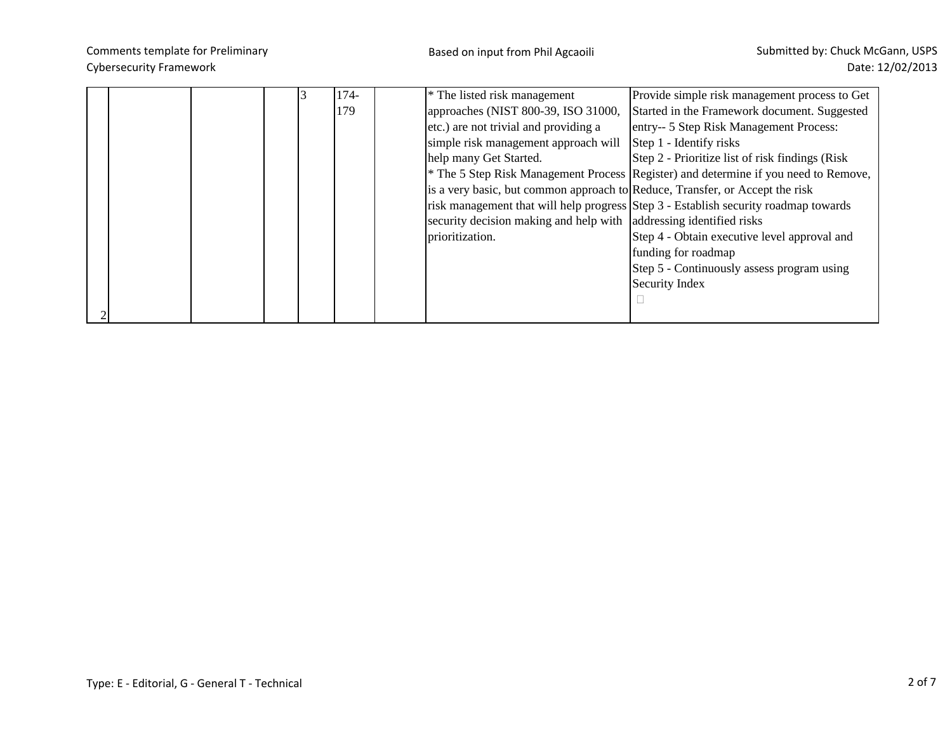|  |  | 174- | * The listed risk management                                                 | Provide simple risk management process to Get                                                  |
|--|--|------|------------------------------------------------------------------------------|------------------------------------------------------------------------------------------------|
|  |  | 179  | approaches (NIST 800-39, ISO 31000,                                          | Started in the Framework document. Suggested                                                   |
|  |  |      | etc.) are not trivial and providing a                                        | entry-- 5 Step Risk Management Process:                                                        |
|  |  |      | simple risk management approach will                                         | Step 1 - Identify risks                                                                        |
|  |  |      | help many Get Started.                                                       | Step 2 - Prioritize list of risk findings (Risk)                                               |
|  |  |      |                                                                              | <sup>*</sup> The 5 Step Risk Management Process Register) and determine if you need to Remove, |
|  |  |      | is a very basic, but common approach to Reduce, Transfer, or Accept the risk |                                                                                                |
|  |  |      |                                                                              | risk management that will help progress Step 3 - Establish security roadmap towards            |
|  |  |      | security decision making and help with addressing identified risks           |                                                                                                |
|  |  |      | prioritization.                                                              | Step 4 - Obtain executive level approval and                                                   |
|  |  |      |                                                                              | funding for roadmap                                                                            |
|  |  |      |                                                                              | Step 5 - Continuously assess program using                                                     |
|  |  |      |                                                                              | Security Index                                                                                 |
|  |  |      |                                                                              |                                                                                                |
|  |  |      |                                                                              |                                                                                                |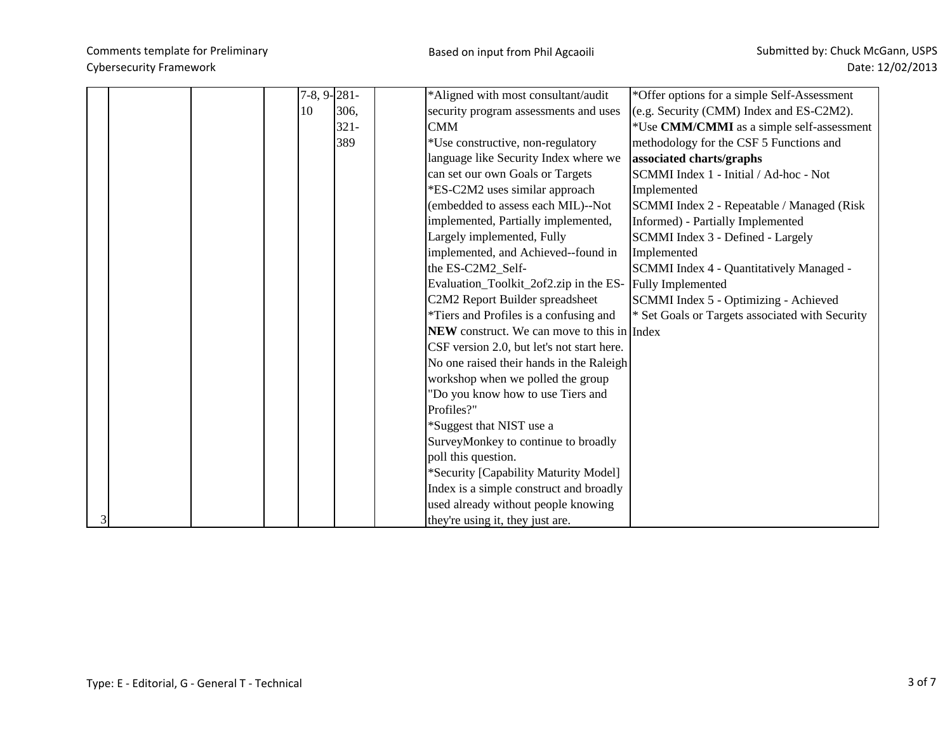|  | $7-8, 9-281-$ |         | *Aligned with most consultant/audit                      | *Offer options for a simple Self-Assessment     |
|--|---------------|---------|----------------------------------------------------------|-------------------------------------------------|
|  | 10            | 306.    | security program assessments and uses                    | (e.g. Security (CMM) Index and ES-C2M2).        |
|  |               | $321 -$ | <b>CMM</b>                                               | *Use CMM/CMMI as a simple self-assessment       |
|  |               | 389     | *Use constructive, non-regulatory                        | methodology for the CSF 5 Functions and         |
|  |               |         | language like Security Index where we                    | associated charts/graphs                        |
|  |               |         | can set our own Goals or Targets                         | SCMMI Index 1 - Initial / Ad-hoc - Not          |
|  |               |         | *ES-C2M2 uses similar approach                           | Implemented                                     |
|  |               |         | (embedded to assess each MIL)--Not                       | SCMMI Index 2 - Repeatable / Managed (Risk      |
|  |               |         | implemented, Partially implemented,                      | Informed) - Partially Implemented               |
|  |               |         | Largely implemented, Fully                               | SCMMI Index 3 - Defined - Largely               |
|  |               |         | implemented, and Achieved--found in                      | Implemented                                     |
|  |               |         | the ES-C2M2_Self-                                        | SCMMI Index 4 - Quantitatively Managed -        |
|  |               |         | Evaluation_Toolkit_2of2.zip in the ES- Fully Implemented |                                                 |
|  |               |         | C2M2 Report Builder spreadsheet                          | SCMMI Index 5 - Optimizing - Achieved           |
|  |               |         | *Tiers and Profiles is a confusing and                   | * Set Goals or Targets associated with Security |
|  |               |         | <b>NEW</b> construct. We can move to this in Index       |                                                 |
|  |               |         | CSF version 2.0, but let's not start here.               |                                                 |
|  |               |         | No one raised their hands in the Raleigh                 |                                                 |
|  |               |         | workshop when we polled the group                        |                                                 |
|  |               |         | "Do you know how to use Tiers and                        |                                                 |
|  |               |         | Profiles?"                                               |                                                 |
|  |               |         | *Suggest that NIST use a                                 |                                                 |
|  |               |         | SurveyMonkey to continue to broadly                      |                                                 |
|  |               |         | poll this question.                                      |                                                 |
|  |               |         | *Security [Capability Maturity Model]                    |                                                 |
|  |               |         | Index is a simple construct and broadly                  |                                                 |
|  |               |         | used already without people knowing                      |                                                 |
|  |               |         | they're using it, they just are.                         |                                                 |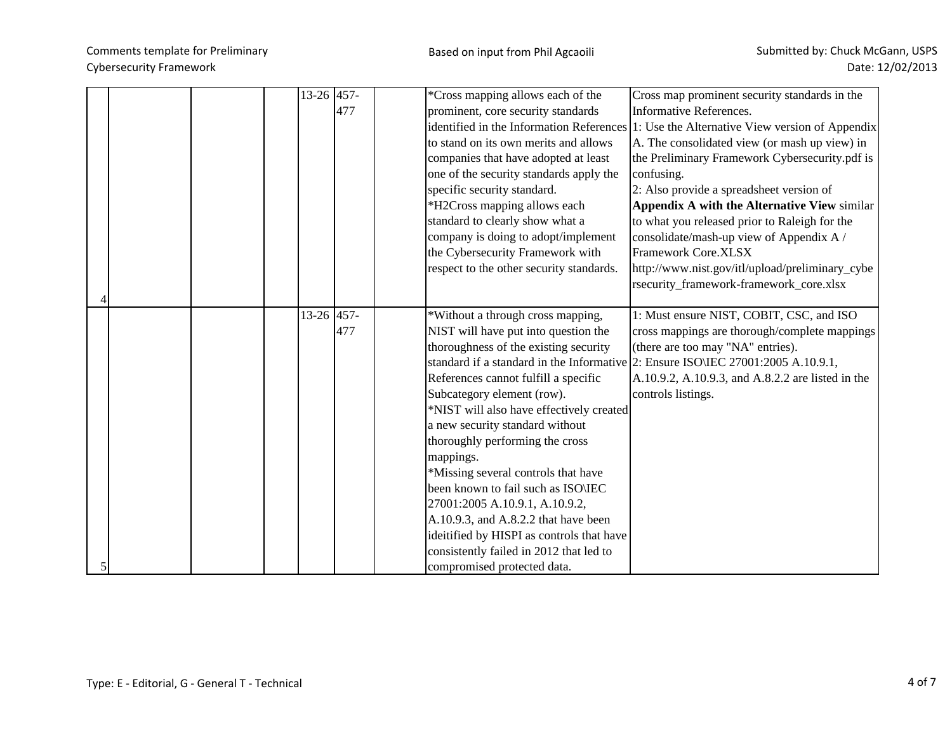|  | 13-26 457- | 477 | *Cross mapping allows each of the<br>prominent, core security standards<br>to stand on its own merits and allows<br>companies that have adopted at least<br>one of the security standards apply the<br>specific security standard.<br>*H2Cross mapping allows each<br>standard to clearly show what a<br>company is doing to adopt/implement<br>the Cybersecurity Framework with<br>respect to the other security standards.                                                                                                                                                                          | Cross map prominent security standards in the<br><b>Informative References.</b><br>identified in the Information References 1: Use the Alternative View version of Appendix<br>A. The consolidated view (or mash up view) in<br>the Preliminary Framework Cybersecurity.pdf is<br>confusing.<br>2: Also provide a spreadsheet version of<br>Appendix A with the Alternative View similar<br>to what you released prior to Raleigh for the<br>consolidate/mash-up view of Appendix A /<br>Framework Core.XLSX<br>http://www.nist.gov/itl/upload/preliminary_cybe |
|--|------------|-----|-------------------------------------------------------------------------------------------------------------------------------------------------------------------------------------------------------------------------------------------------------------------------------------------------------------------------------------------------------------------------------------------------------------------------------------------------------------------------------------------------------------------------------------------------------------------------------------------------------|-----------------------------------------------------------------------------------------------------------------------------------------------------------------------------------------------------------------------------------------------------------------------------------------------------------------------------------------------------------------------------------------------------------------------------------------------------------------------------------------------------------------------------------------------------------------|
|  |            |     |                                                                                                                                                                                                                                                                                                                                                                                                                                                                                                                                                                                                       | rsecurity_framework-framework_core.xlsx                                                                                                                                                                                                                                                                                                                                                                                                                                                                                                                         |
|  | 13-26 457- | 477 | *Without a through cross mapping,<br>NIST will have put into question the<br>thoroughness of the existing security<br>References cannot fulfill a specific<br>Subcategory element (row).<br>*NIST will also have effectively created<br>a new security standard without<br>thoroughly performing the cross<br>mappings.<br>*Missing several controls that have<br>been known to fail such as ISO\IEC<br>27001:2005 A.10.9.1, A.10.9.2,<br>A.10.9.3, and A.8.2.2 that have been<br>ideitified by HISPI as controls that have<br>consistently failed in 2012 that led to<br>compromised protected data. | 1: Must ensure NIST, COBIT, CSC, and ISO<br>cross mappings are thorough/complete mappings<br>(there are too may "NA" entries).<br>standard if a standard in the Informative 2: Ensure ISO IEC 27001:2005 A.10.9.1,<br>A.10.9.2, A.10.9.3, and A.8.2.2 are listed in the<br>controls listings.                                                                                                                                                                                                                                                                   |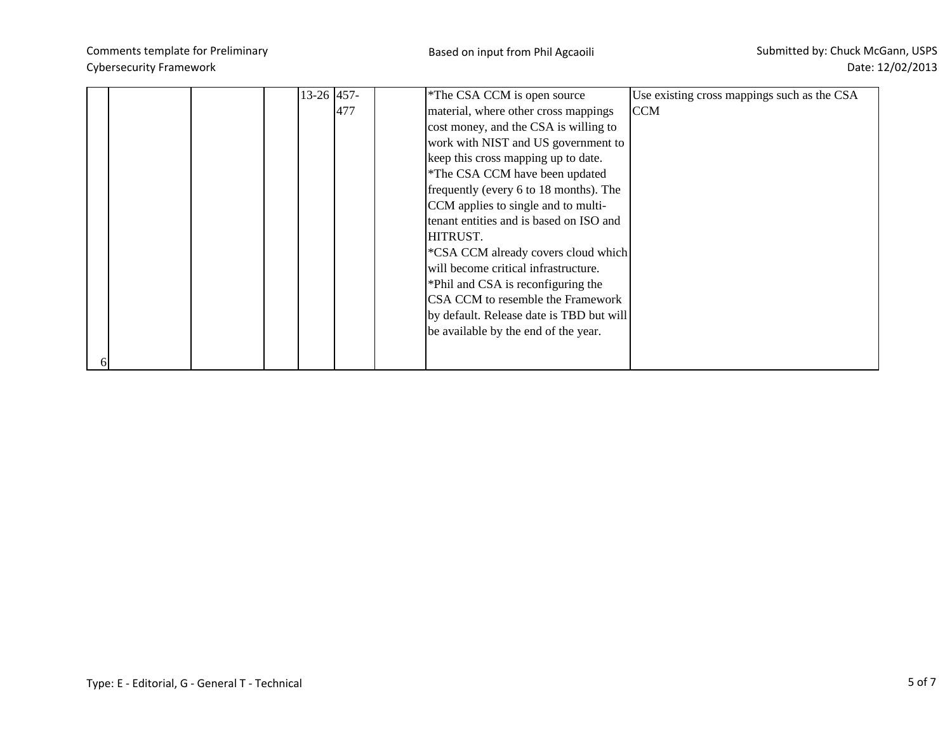|  |  | 13-26 457- | *The CSA CCM is open source<br>Use existing cross mappings such as the CSA |
|--|--|------------|----------------------------------------------------------------------------|
|  |  | 477        | material, where other cross mappings<br><b>CCM</b>                         |
|  |  |            | cost money, and the CSA is willing to                                      |
|  |  |            | work with NIST and US government to                                        |
|  |  |            | keep this cross mapping up to date.                                        |
|  |  |            | *The CSA CCM have been updated                                             |
|  |  |            | frequently (every 6 to 18 months). The                                     |
|  |  |            | CCM applies to single and to multi-                                        |
|  |  |            | tenant entities and is based on ISO and                                    |
|  |  |            | HITRUST.                                                                   |
|  |  |            | *CSA CCM already covers cloud which                                        |
|  |  |            | will become critical infrastructure.                                       |
|  |  |            | *Phil and CSA is reconfiguring the                                         |
|  |  |            | CSA CCM to resemble the Framework                                          |
|  |  |            | by default. Release date is TBD but will                                   |
|  |  |            | be available by the end of the year.                                       |
|  |  |            |                                                                            |
|  |  |            |                                                                            |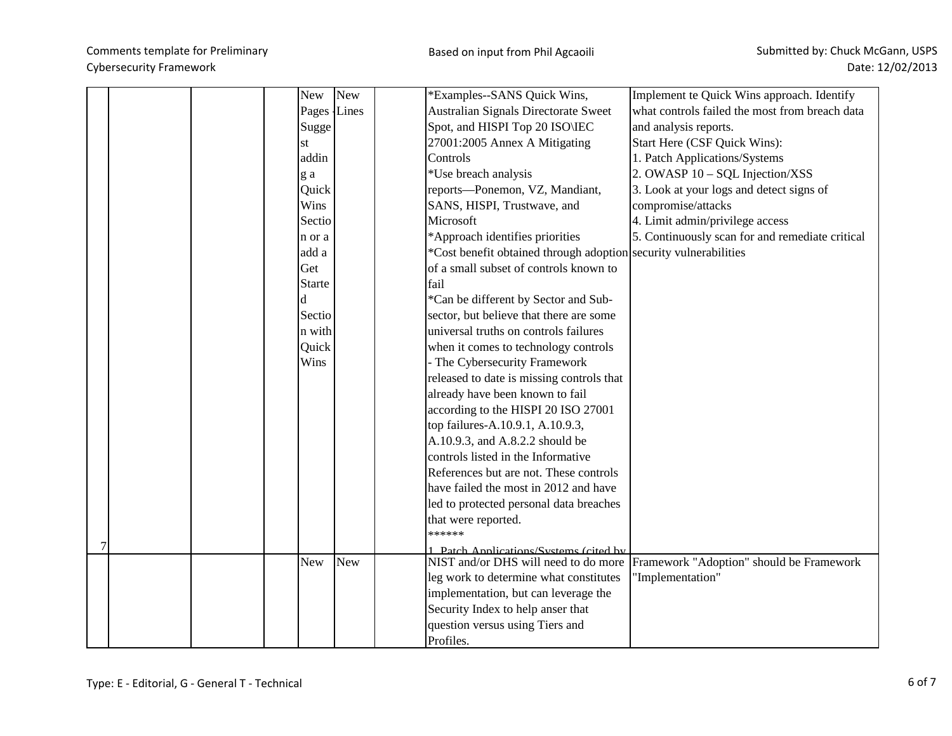|  | New           | New | *Examples--SANS Quick Wins,                                                    | Implement te Quick Wins approach. Identify      |
|--|---------------|-----|--------------------------------------------------------------------------------|-------------------------------------------------|
|  | Pages Lines   |     | <b>Australian Signals Directorate Sweet</b>                                    | what controls failed the most from breach data  |
|  | Sugge         |     | Spot, and HISPI Top 20 ISO\IEC                                                 | and analysis reports.                           |
|  | st            |     | 27001:2005 Annex A Mitigating                                                  | Start Here (CSF Quick Wins):                    |
|  | addin         |     | Controls                                                                       | 1. Patch Applications/Systems                   |
|  | g a           |     | *Use breach analysis                                                           | 2. OWASP 10 - SQL Injection/XSS                 |
|  | Quick         |     | reports-Ponemon, VZ, Mandiant,                                                 | 3. Look at your logs and detect signs of        |
|  | Wins          |     | SANS, HISPI, Trustwave, and                                                    | compromise/attacks                              |
|  | Sectio        |     | Microsoft                                                                      | 4. Limit admin/privilege access                 |
|  | n or a        |     | *Approach identifies priorities                                                | 5. Continuously scan for and remediate critical |
|  | add a         |     | *Cost benefit obtained through adoption security vulnerabilities               |                                                 |
|  | Get           |     | of a small subset of controls known to                                         |                                                 |
|  | <b>Starte</b> |     | fail                                                                           |                                                 |
|  | d             |     | *Can be different by Sector and Sub-                                           |                                                 |
|  | Sectio        |     | sector, but believe that there are some                                        |                                                 |
|  | n with        |     | universal truths on controls failures                                          |                                                 |
|  | Quick         |     | when it comes to technology controls                                           |                                                 |
|  | Wins          |     | - The Cybersecurity Framework                                                  |                                                 |
|  |               |     | released to date is missing controls that                                      |                                                 |
|  |               |     | already have been known to fail                                                |                                                 |
|  |               |     | according to the HISPI 20 ISO 27001                                            |                                                 |
|  |               |     | top failures-A.10.9.1, A.10.9.3,                                               |                                                 |
|  |               |     | A.10.9.3, and A.8.2.2 should be                                                |                                                 |
|  |               |     | controls listed in the Informative                                             |                                                 |
|  |               |     | References but are not. These controls                                         |                                                 |
|  |               |     | have failed the most in 2012 and have                                          |                                                 |
|  |               |     | led to protected personal data breaches                                        |                                                 |
|  |               |     | that were reported.                                                            |                                                 |
|  |               |     | ******                                                                         |                                                 |
|  | New           | New | 1 Patch Annlications/Systems (cited by<br>NIST and/or DHS will need to do more |                                                 |
|  |               |     |                                                                                | Framework "Adoption" should be Framework        |
|  |               |     | leg work to determine what constitutes                                         | "Implementation"                                |
|  |               |     | implementation, but can leverage the                                           |                                                 |
|  |               |     | Security Index to help anser that                                              |                                                 |
|  |               |     | question versus using Tiers and<br>Profiles.                                   |                                                 |
|  |               |     |                                                                                |                                                 |